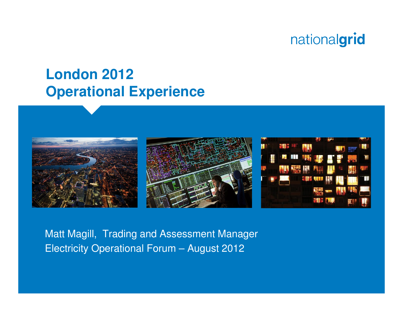## **London 2012Operational Experience**







Matt Magill, Trading and Assessment ManagerElectricity Operational Forum – August 2012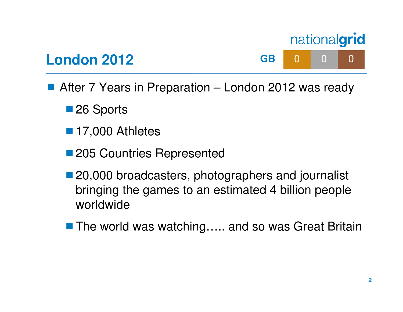

- After 7 Years in Preparation London 2012 was ready
	- ■26 Sports

**London 2012**

- 17,000 Athletes
- 205 Countries Represented
- 20,000 broadcasters, photographers and journalist bringing the games to an estimated 4 billion people worldwide
- The world was watching….. and so was Great Britain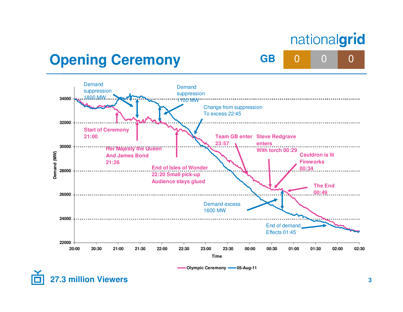**B** 0 0 0

**GB**

## **Opening Ceremony**



**Olympic Ceremony 05-Aug-11**

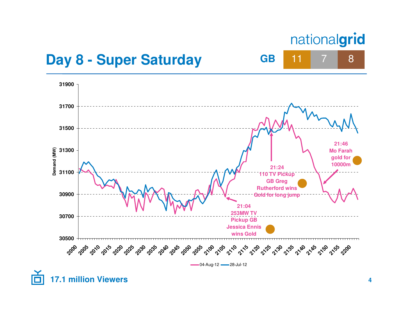7

8

**GB** <sup>11</sup>

#### **Day 8 - Super Saturday**

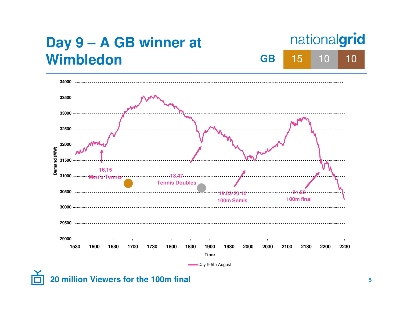

# **20 million Viewers for the 100m final**

**5**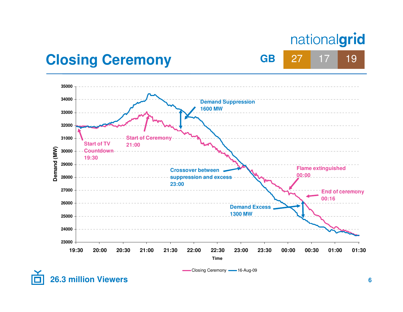<sup>27</sup> <sup>17</sup> <sup>19</sup>

**GB**

## **Closing Ceremony**

**26.3 million Viewers**



Closing Ceremony **- 16-Aug-09**